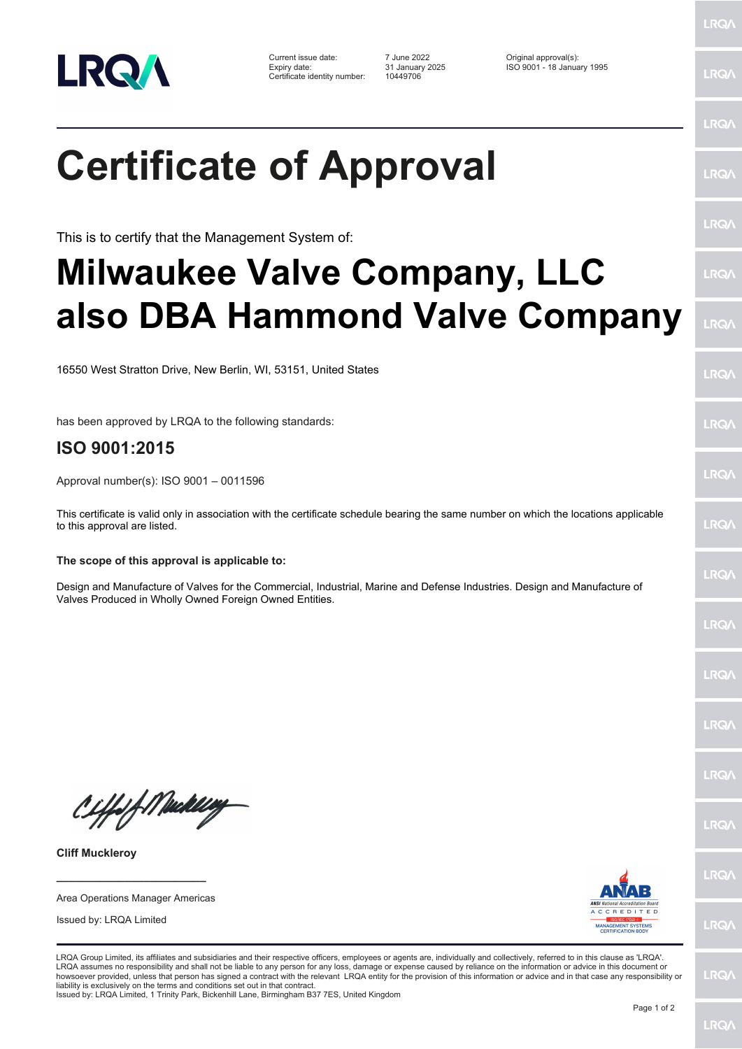

Current issue date: 7 June 2022 Original approval(s): Expiry date: 31 January 2025 ISO 9001 - 18 January 1995 Certificate identity number: 10449706

LRQ/

LRQ/

## LRQ/

LRQ/

LRQ/

LRQ/

LRQ/

LRQ/

LRQ/

LRQ/

LRQ/

LRQ/

LRQ/

LRQ/

**IRQ** 

**LRO/** 

LRQ/

LRQ/

LRQ/

LRQ/

**Certificate of Approval**

This is to certify that the Management System of:

# **Milwaukee Valve Company, LLC also DBA Hammond Valve Company**

16550 West Stratton Drive, New Berlin, WI, 53151, United States

has been approved by LRQA to the following standards:

### **ISO 9001:2015**

Approval number(s): ISO 9001 – 0011596

This certificate is valid only in association with the certificate schedule bearing the same number on which the locations applicable to this approval are listed.

#### **The scope of this approval is applicable to:**

Design and Manufacture of Valves for the Commercial, Industrial, Marine and Defense Industries. Design and Manufacture of Valves Produced in Wholly Owned Foreign Owned Entities.

CHfof Medally

**Cliff Muckleroy**

Area Operations Manager Americas

**\_\_\_\_\_\_\_\_\_\_\_\_\_\_\_\_\_\_\_\_\_\_\_\_**

Issued by: LRQA Limited



LRQA Group Limited, its affiliates and subsidiaries and their respective officers, employees or agents are, individually and collectively, referred to in this clause as 'LRQA'. LRQA assumes no responsibility and shall not be liable to any person for any loss, damage or expense caused by reliance on the information or advice in this document or<br>howsoever provided, unless that person has signed a c liability is exclusively on the terms and conditions set out in that contract. Issued by: LRQA Limited, 1 Trinity Park, Bickenhill Lane, Birmingham B37 7ES, United Kingdom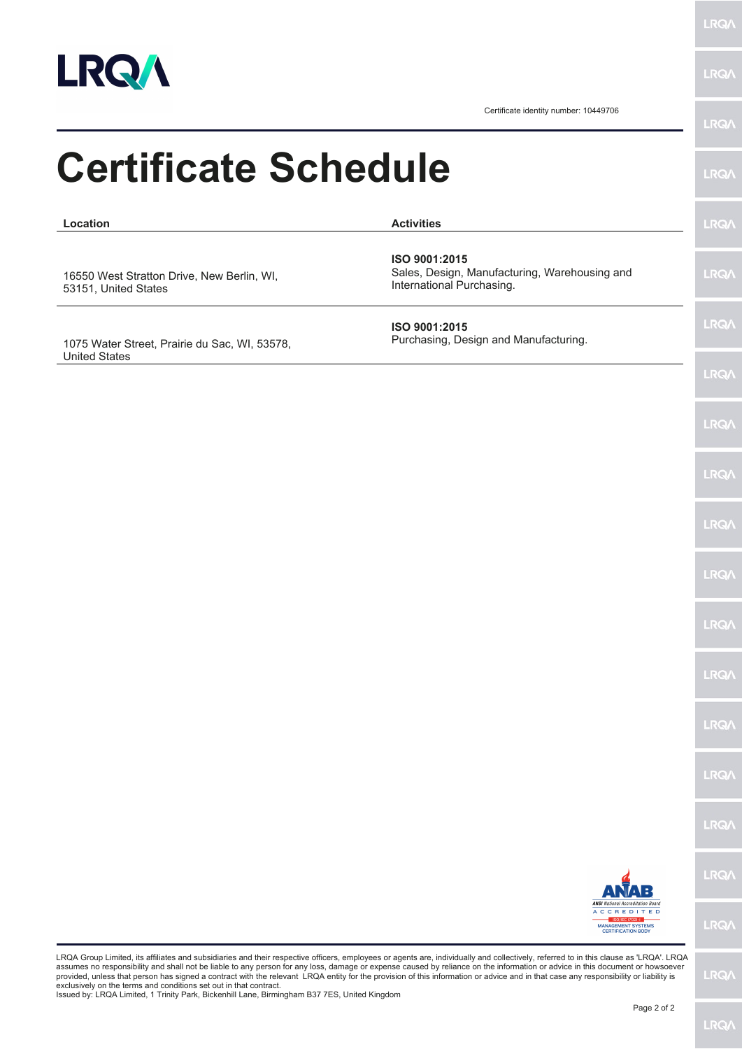

**LRQA** 

Certificate identity number: 10449706

| <b>Certificate Schedule</b>                                           |                                                                                                | <b>LRQA</b>  |
|-----------------------------------------------------------------------|------------------------------------------------------------------------------------------------|--------------|
| Location                                                              | <b>Activities</b>                                                                              | <b>LRQA</b>  |
| 16550 West Stratton Drive, New Berlin, WI,<br>53151, United States    | ISO 9001:2015<br>Sales, Design, Manufacturing, Warehousing and<br>International Purchasing.    | <b>LRQA</b>  |
| 1075 Water Street, Prairie du Sac, WI, 53578,<br><b>United States</b> | ISO 9001:2015<br>Purchasing, Design and Manufacturing.                                         | <b>LRQA</b>  |
|                                                                       |                                                                                                | <b>LRQA</b>  |
|                                                                       |                                                                                                | <b>LRQ/\</b> |
|                                                                       |                                                                                                | <b>LRQA</b>  |
|                                                                       |                                                                                                | <b>LRQ/</b>  |
|                                                                       |                                                                                                | <b>LRQA</b>  |
|                                                                       |                                                                                                | <b>LRQ/</b>  |
|                                                                       |                                                                                                | <b>LRQA</b>  |
|                                                                       |                                                                                                | LRQ/         |
|                                                                       |                                                                                                | LRQ/         |
|                                                                       |                                                                                                | LRQ/         |
|                                                                       | <b>ANSI</b> National Accreditation Board                                                       | LRQ/         |
|                                                                       | <b>ACCREDITED</b><br>ISO/IEC 17021-1<br><b>MANAGEMENT SYSTEMS</b><br><b>CERTIFICATION BODY</b> | <b>LRQ/</b>  |

exclusively on the terms and conditions set out in that contract. Issued by: LRQA Limited, 1 Trinity Park, Bickenhill Lane, Birmingham B37 7ES, United Kingdom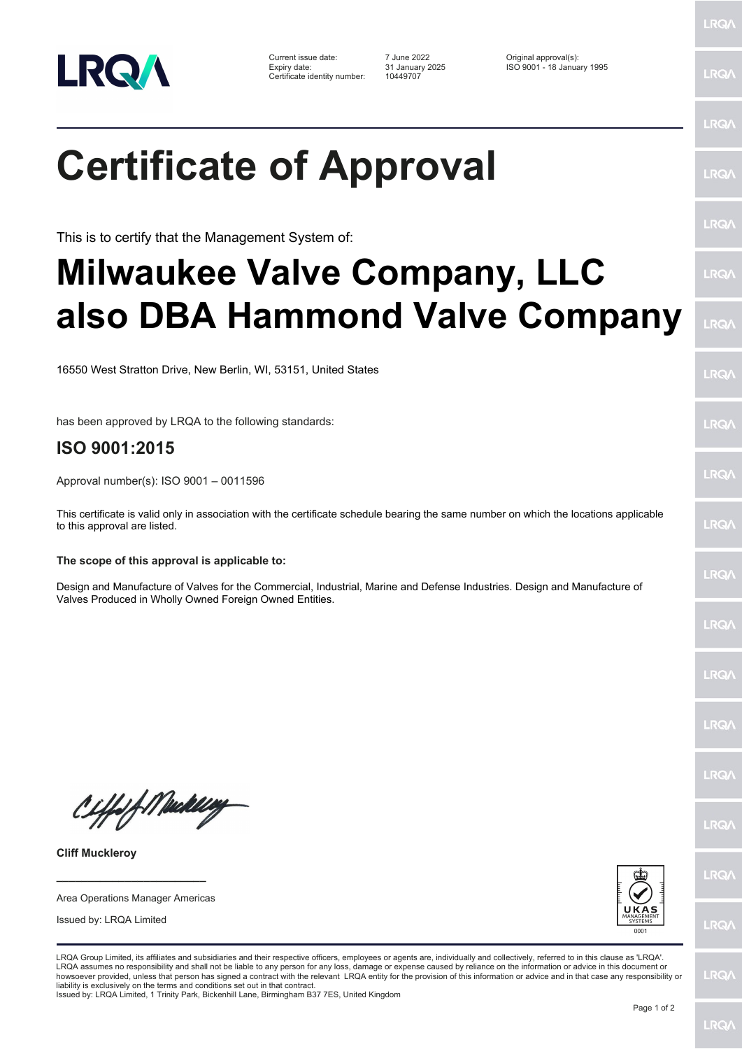

Current issue date: 7 June 2022 Original approval(s): Expiry date: 31 January 2025 ISO 9001 - 18 January 1995 Certificate identity number: 10449707

LRQ/

LRQ/

LRQ/

LRQ/

LRQ/

LRQ/

LRQ/

LRQ/

**LRQA** 

LRQ/

LRQ/

LRQ/

LRQ/

LRQ/

**IRQ** 

**LRO/** 

LRQ/

LRQ/

**LRQ/** 

LRQ/

# **Certificate of Approval**

This is to certify that the Management System of:

# **Milwaukee Valve Company, LLC also DBA Hammond Valve Company**

16550 West Stratton Drive, New Berlin, WI, 53151, United States

has been approved by LRQA to the following standards:

## **ISO 9001:2015**

Approval number(s): ISO 9001 – 0011596

This certificate is valid only in association with the certificate schedule bearing the same number on which the locations applicable to this approval are listed.

### **The scope of this approval is applicable to:**

Design and Manufacture of Valves for the Commercial, Industrial, Marine and Defense Industries. Design and Manufacture of Valves Produced in Wholly Owned Foreign Owned Entities.

CHfolf Meddley

**Cliff Muckleroy**

**\_\_\_\_\_\_\_\_\_\_\_\_\_\_\_\_\_\_\_\_\_\_\_\_** Area Operations Manager Americas

Issued by: LRQA Limited



LRQA Group Limited, its affiliates and subsidiaries and their respective officers, employees or agents are, individually and collectively, referred to in this clause as 'LRQA'. LRQA assumes no responsibility and shall not be liable to any person for any loss, damage or expense caused by reliance on the information or advice in this document or<br>howsoever provided, unless that person has signed a c liability is exclusively on the terms and conditions set out in that contract.